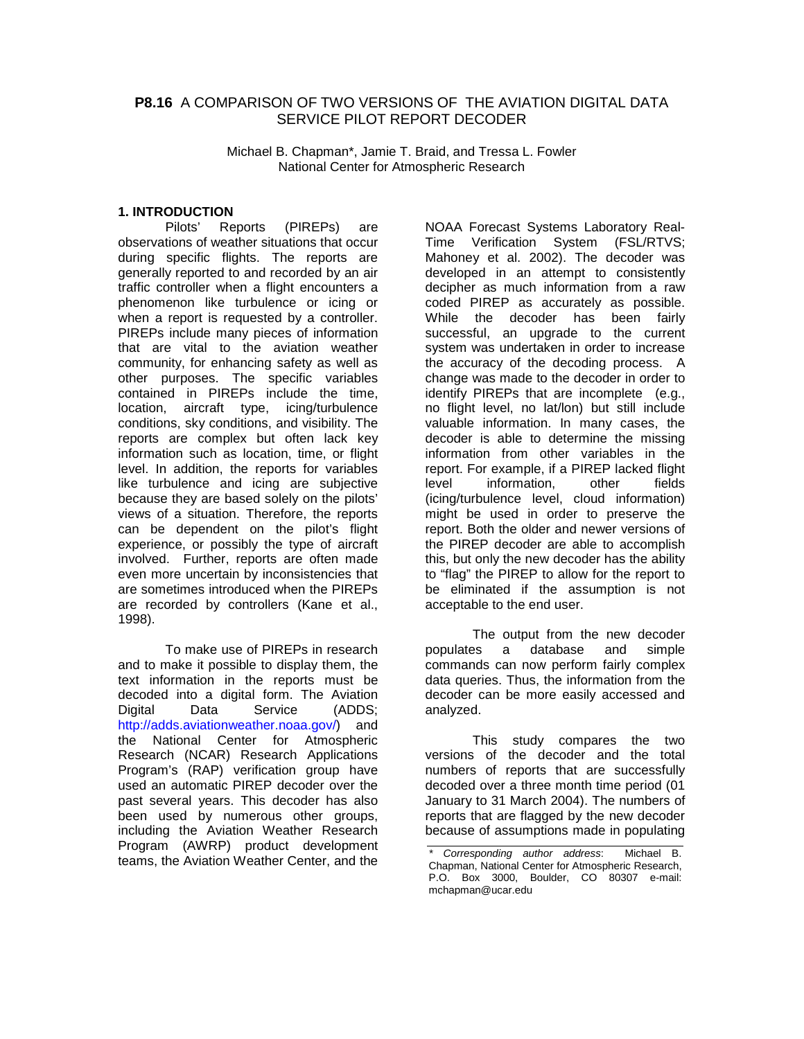# **P8.16** A COMPARISON OF TWO VERSIONS OF THE AVIATION DIGITAL DATA SERVICE PILOT REPORT DECODER

Michael B. Chapman\*, Jamie T. Braid, and Tressa L. Fowler National Center for Atmospheric Research

### **1. INTRODUCTION**

Pilots' Reports (PIREPs) are observations of weather situations that occur during specific flights. The reports are generally reported to and recorded by an air traffic controller when a flight encounters a phenomenon like turbulence or icing or when a report is requested by a controller. PIREPs include many pieces of information that are vital to the aviation weather community, for enhancing safety as well as other purposes. The specific variables contained in PIREPs include the time, location, aircraft type, icing/turbulence conditions, sky conditions, and visibility. The reports are complex but often lack key information such as location, time, or flight level. In addition, the reports for variables like turbulence and icing are subjective because they are based solely on the pilots' views of a situation. Therefore, the reports can be dependent on the pilot's flight experience, or possibly the type of aircraft involved. Further, reports are often made even more uncertain by inconsistencies that are sometimes introduced when the PIREPs are recorded by controllers (Kane et al., 1998).

To make use of PIREPs in research and to make it possible to display them, the text information in the reports must be decoded into a digital form. The Aviation Digital Data Service (ADDS; http://adds.aviationweather.noaa.gov/) and the National Center for Atmospheric Research (NCAR) Research Applications Program's (RAP) verification group have used an automatic PIREP decoder over the past several years. This decoder has also been used by numerous other groups, including the Aviation Weather Research Program (AWRP) product development teams, the Aviation Weather Center, and the

NOAA Forecast Systems Laboratory Real-Time Verification System (FSL/RTVS; Mahoney et al. 2002). The decoder was developed in an attempt to consistently decipher as much information from a raw coded PIREP as accurately as possible. While the decoder has been fairly successful, an upgrade to the current system was undertaken in order to increase the accuracy of the decoding process. A change was made to the decoder in order to identify PIREPs that are incomplete (e.g., no flight level, no lat/lon) but still include valuable information. In many cases, the decoder is able to determine the missing information from other variables in the report. For example, if a PIREP lacked flight level information, other fields (icing/turbulence level, cloud information) might be used in order to preserve the report. Both the older and newer versions of the PIREP decoder are able to accomplish this, but only the new decoder has the ability to "flag" the PIREP to allow for the report to be eliminated if the assumption is not acceptable to the end user.

The output from the new decoder populates a database and simple commands can now perform fairly complex data queries. Thus, the information from the decoder can be more easily accessed and analyzed.

This study compares the two versions of the decoder and the total numbers of reports that are successfully decoded over a three month time period (01 January to 31 March 2004). The numbers of reports that are flagged by the new decoder because of assumptions made in populating

Corresponding author address: Michael B. Chapman, National Center for Atmospheric Research, P.O. Box 3000, Boulder, CO 80307 e-mail: mchapman@ucar.edu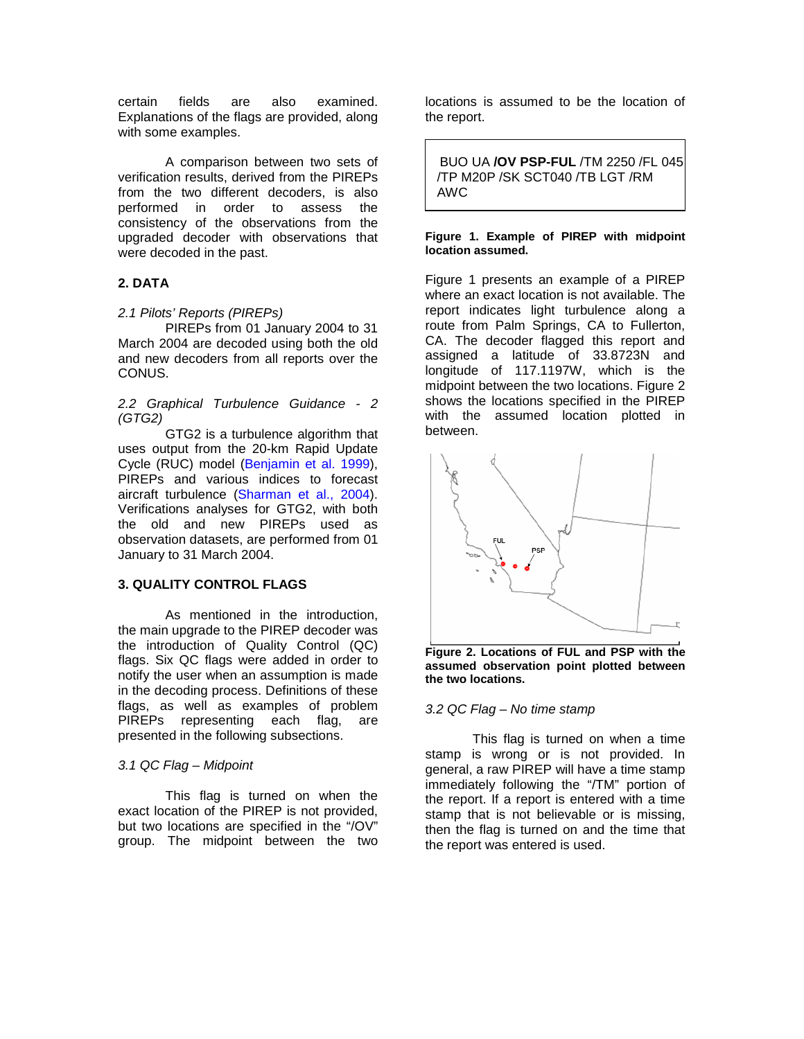certain fields are also examined. Explanations of the flags are provided, along with some examples.

A comparison between two sets of verification results, derived from the PIREPs from the two different decoders, is also performed in order to assess the consistency of the observations from the upgraded decoder with observations that were decoded in the past.

# **2. DATA**

### 2.1 Pilots' Reports (PIREPs)

 PIREPs from 01 January 2004 to 31 March 2004 are decoded using both the old and new decoders from all reports over the CONUS.

#### 2.2 Graphical Turbulence Guidance - 2 (GTG2)

GTG2 is a turbulence algorithm that uses output from the 20-km Rapid Update Cycle (RUC) model (Benjamin et al. 1999), PIREPs and various indices to forecast aircraft turbulence (Sharman et al., 2004). Verifications analyses for GTG2, with both the old and new PIREPs used as observation datasets, are performed from 01 January to 31 March 2004.

### **3. QUALITY CONTROL FLAGS**

 As mentioned in the introduction, the main upgrade to the PIREP decoder was the introduction of Quality Control (QC) flags. Six QC flags were added in order to notify the user when an assumption is made in the decoding process. Definitions of these flags, as well as examples of problem PIREPs representing each flag, are presented in the following subsections.

### 3.1 QC Flag – Midpoint

This flag is turned on when the exact location of the PIREP is not provided, but two locations are specified in the "/OV" group. The midpoint between the two locations is assumed to be the location of the report.

 BUO UA **/OV PSP-FUL** /TM 2250 /FL 045 /TP M20P /SK SCT040 /TB LGT /RM AWC

#### **Figure 1. Example of PIREP with midpoint location assumed.**

 $\overline{a}$ 

Figure 1 presents an example of a PIREP where an exact location is not available. The report indicates light turbulence along a route from Palm Springs, CA to Fullerton, CA. The decoder flagged this report and assigned a latitude of 33.8723N and longitude of 117.1197W, which is the midpoint between the two locations. Figure 2 shows the locations specified in the PIREP with the assumed location plotted in between.



**Figure 2. Locations of FUL and PSP with the assumed observation point plotted between the two locations.**

#### 3.2 QC Flag – No time stamp

This flag is turned on when a time stamp is wrong or is not provided. In general, a raw PIREP will have a time stamp immediately following the "/TM" portion of the report. If a report is entered with a time stamp that is not believable or is missing, then the flag is turned on and the time that the report was entered is used.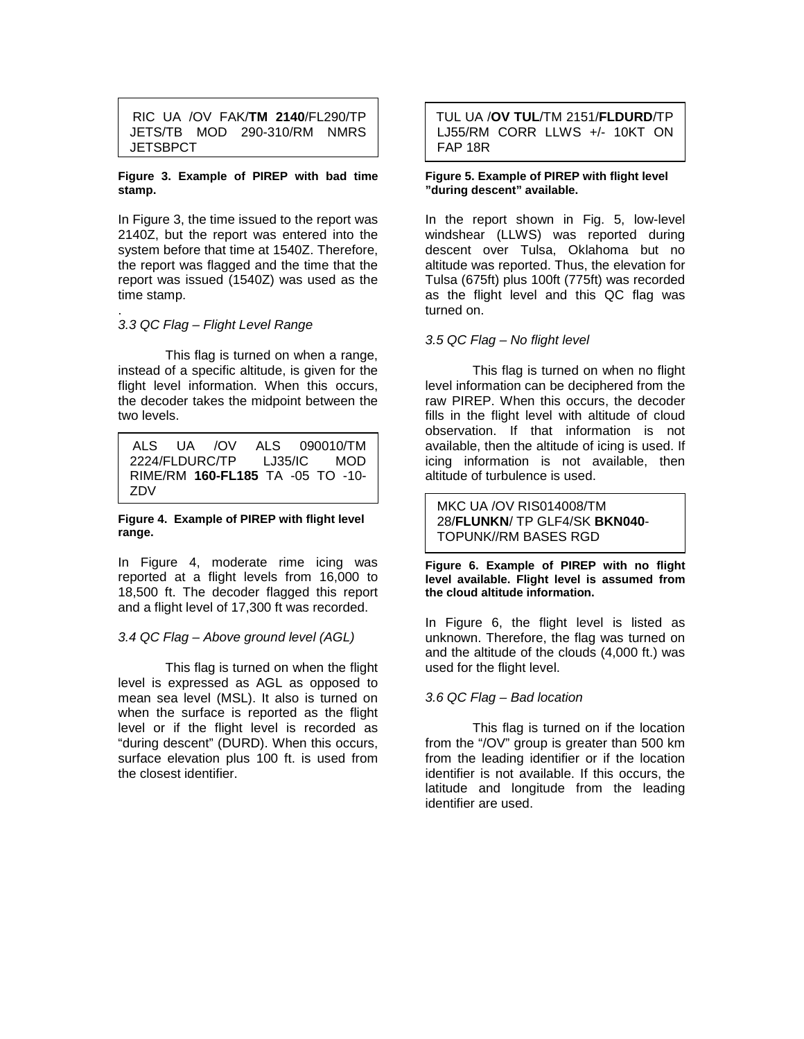RIC UA /OV FAK/**TM 2140**/FL290/TP JETS/TB MOD 290-310/RM NMRS **JETSBPCT** 

#### **Figure 3. Example of PIREP with bad time stamp.**

In Figure 3, the time issued to the report was 2140Z, but the report was entered into the system before that time at 1540Z. Therefore, the report was flagged and the time that the report was issued (1540Z) was used as the time stamp.

#### . 3.3 QC Flag – Flight Level Range

 This flag is turned on when a range, instead of a specific altitude, is given for the flight level information. When this occurs, the decoder takes the midpoint between the two levels.

 ALS UA /OV ALS 090010/TM 2224/FLDURC/TP LJ35/IC MOD RIME/RM **160-FL185** TA -05 TO -10- ZDV

#### **Figure 4. Example of PIREP with flight level range.**

In Figure 4, moderate rime icing was reported at a flight levels from 16,000 to 18,500 ft. The decoder flagged this report and a flight level of 17,300 ft was recorded.

### 3.4 QC Flag – Above ground level (AGL)

 This flag is turned on when the flight level is expressed as AGL as opposed to mean sea level (MSL). It also is turned on when the surface is reported as the flight level or if the flight level is recorded as "during descent" (DURD). When this occurs, surface elevation plus 100 ft. is used from the closest identifier.

### TUL UA /**OV TUL**/TM 2151/**FLDURD**/TP LJ55/RM CORR LLWS +/- 10KT ON FAP 18R

#### **Figure 5. Example of PIREP with flight level "during descent" available.**

In the report shown in Fig. 5, low-level windshear (LLWS) was reported during descent over Tulsa, Oklahoma but no altitude was reported. Thus, the elevation for Tulsa (675ft) plus 100ft (775ft) was recorded as the flight level and this QC flag was turned on.

# 3.5 QC Flag – No flight level

This flag is turned on when no flight level information can be deciphered from the raw PIREP. When this occurs, the decoder fills in the flight level with altitude of cloud observation. If that information is not available, then the altitude of icing is used. If icing information is not available, then altitude of turbulence is used.

MKC UA /OV RIS014008/TM 28/**FLUNKN**/ TP GLF4/SK **BKN040**- TOPUNK//RM BASES RGD

**Figure 6. Example of PIREP with no flight level available. Flight level is assumed from the cloud altitude information.** 

In Figure 6, the flight level is listed as unknown. Therefore, the flag was turned on and the altitude of the clouds (4,000 ft.) was used for the flight level.

### 3.6 QC Flag – Bad location

 This flag is turned on if the location from the "/OV" group is greater than 500 km from the leading identifier or if the location identifier is not available. If this occurs, the latitude and longitude from the leading identifier are used.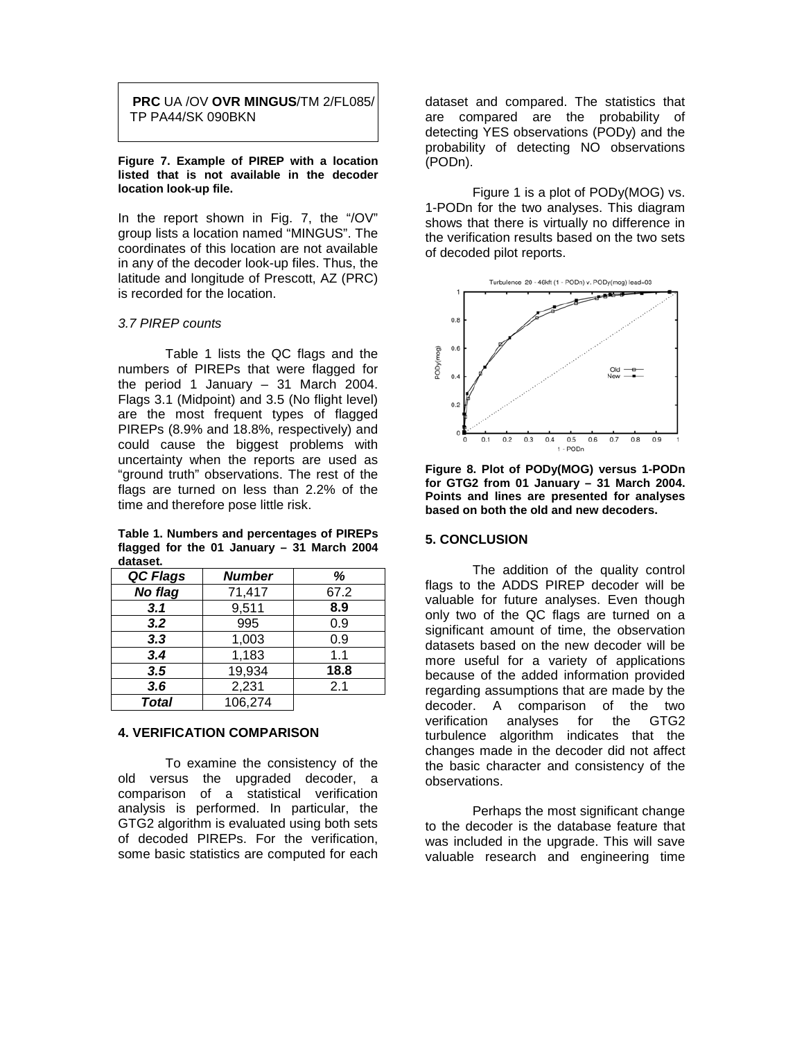**PRC** UA /OV **OVR MINGUS**/TM 2/FL085/ TP PA44/SK 090BKN

**Figure 7. Example of PIREP with a location listed that is not available in the decoder location look-up file.** 

In the report shown in Fig. 7, the "/OV" group lists a location named "MINGUS". The coordinates of this location are not available in any of the decoder look-up files. Thus, the latitude and longitude of Prescott, AZ (PRC) is recorded for the location.

# 3.7 PIREP counts

 Table 1 lists the QC flags and the numbers of PIREPs that were flagged for the period 1 January  $-31$  March 2004. Flags 3.1 (Midpoint) and 3.5 (No flight level) are the most frequent types of flagged PIREPs (8.9% and 18.8%, respectively) and could cause the biggest problems with uncertainty when the reports are used as "ground truth" observations. The rest of the flags are turned on less than 2.2% of the time and therefore pose little risk.

**Table 1. Numbers and percentages of PIREPs flagged for the 01 January – 31 March 2004 dataset.**

| QC Flags | <b>Number</b> | ℅    |
|----------|---------------|------|
| No flag  | 71,417        | 67.2 |
| 3.1      | 9,511         | 8.9  |
| 3.2      | 995           | 0.9  |
| 3.3      | 1,003         | 0.9  |
| 3.4      | 1,183         | 1.1  |
| 3.5      | 19,934        | 18.8 |
| 3.6      | 2,231         | 2.1  |
| Total    | 106,274       |      |

#### **4. VERIFICATION COMPARISON**

To examine the consistency of the old versus the upgraded decoder, a comparison of a statistical verification analysis is performed. In particular, the GTG2 algorithm is evaluated using both sets of decoded PIREPs. For the verification, some basic statistics are computed for each

dataset and compared. The statistics that are compared are the probability of detecting YES observations (PODy) and the probability of detecting NO observations (PODn).

 Figure 1 is a plot of PODy(MOG) vs. 1-PODn for the two analyses. This diagram shows that there is virtually no difference in the verification results based on the two sets of decoded pilot reports.



**Figure 8. Plot of PODy(MOG) versus 1-PODn for GTG2 from 01 January – 31 March 2004. Points and lines are presented for analyses based on both the old and new decoders.** 

#### **5. CONCLUSION**

The addition of the quality control flags to the ADDS PIREP decoder will be valuable for future analyses. Even though only two of the QC flags are turned on a significant amount of time, the observation datasets based on the new decoder will be more useful for a variety of applications because of the added information provided regarding assumptions that are made by the decoder. A comparison of the two verification analyses for the GTG2 turbulence algorithm indicates that the changes made in the decoder did not affect the basic character and consistency of the observations.

Perhaps the most significant change to the decoder is the database feature that was included in the upgrade. This will save valuable research and engineering time